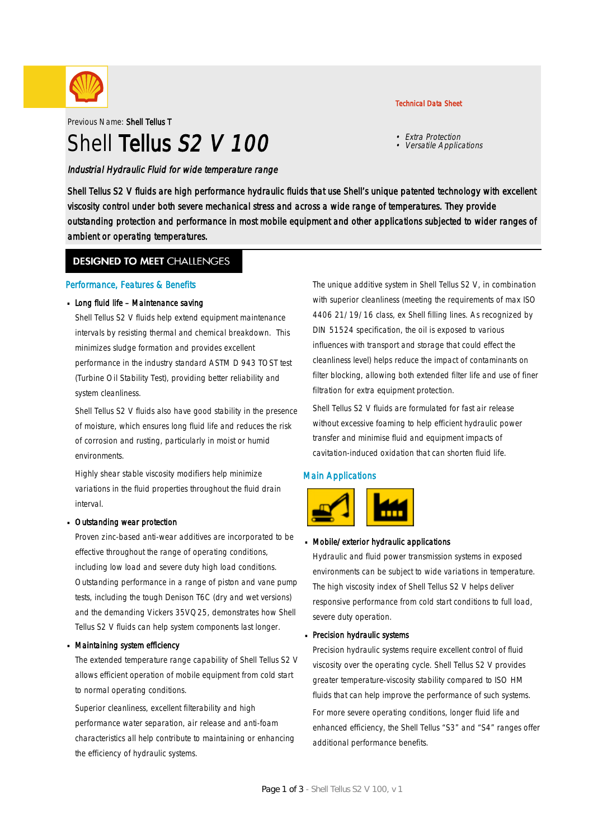

Previous Name: Shell Tellus T

# Shell Tellus S<sub>2</sub> V 100

#### Industrial Hydraulic Fluid for wide temperature range

#### Technical Data Sheet

- Extra Protection
- Versatile Applications

Shell Tellus S2 V fluids are high performance hydraulic fluids that use Shell's unique patented technology with excellent viscosity control under both severe mechanical stress and across a wide range of temperatures. They provide outstanding protection and performance in most mobile equipment and other applications subjected to wider ranges of ambient or operating temperatures.

### **DESIGNED TO MEET CHALLENGES**

#### Performance, Features & Benefits

#### Long fluid life - Maintenance saving

Shell Tellus S2 V fluids help extend equipment maintenance intervals by resisting thermal and chemical breakdown. This minimizes sludge formation and provides excellent performance in the industry standard ASTM D 943 TOST test (Turbine Oil Stability Test), providing better reliability and system cleanliness.

Shell Tellus S2 V fluids also have good stability in the presence of moisture, which ensures long fluid life and reduces the risk of corrosion and rusting, particularly in moist or humid environments.

Highly shear stable viscosity modifiers help minimize variations in the fluid properties throughout the fluid drain interval.

#### Outstanding wear protection ·

Proven zinc-based anti-wear additives are incorporated to be effective throughout the range of operating conditions, including low load and severe duty high load conditions. Outstanding performance in a range of piston and vane pump tests, including the tough Denison T6C (dry and wet versions) and the demanding Vickers 35VQ25, demonstrates how Shell Tellus S2 V fluids can help system components last longer.

#### Maintaining system efficiency ·

The extended temperature range capability of Shell Tellus S2 V allows efficient operation of mobile equipment from cold start to normal operating conditions.

Superior cleanliness, excellent filterability and high performance water separation, air release and anti-foam characteristics all help contribute to maintaining or enhancing the efficiency of hydraulic systems.

The unique additive system in Shell Tellus S2 V, in combination with superior cleanliness (meeting the requirements of max ISO 4406 21/19/16 class, ex Shell filling lines. As recognized by DIN 51524 specification, the oil is exposed to various influences with transport and storage that could effect the cleanliness level) helps reduce the impact of contaminants on filter blocking, allowing both extended filter life and use of finer filtration for extra equipment protection.

Shell Tellus S2 V fluids are formulated for fast air release without excessive foaming to help efficient hydraulic power transfer and minimise fluid and equipment impacts of cavitation-induced oxidation that can shorten fluid life.

### Main Applications



# Mobile/exterior hydraulic applications ·

Hydraulic and fluid power transmission systems in exposed environments can be subject to wide variations in temperature. The high viscosity index of Shell Tellus S2 V helps deliver responsive performance from cold start conditions to full load, severe duty operation.

# Precision hydraulic systems ·

Precision hydraulic systems require excellent control of fluid viscosity over the operating cycle. Shell Tellus S2 V provides greater temperature-viscosity stability compared to ISO HM fluids that can help improve the performance of such systems. For more severe operating conditions, longer fluid life and enhanced efficiency, the Shell Tellus "S3" and "S4" ranges offer additional performance benefits.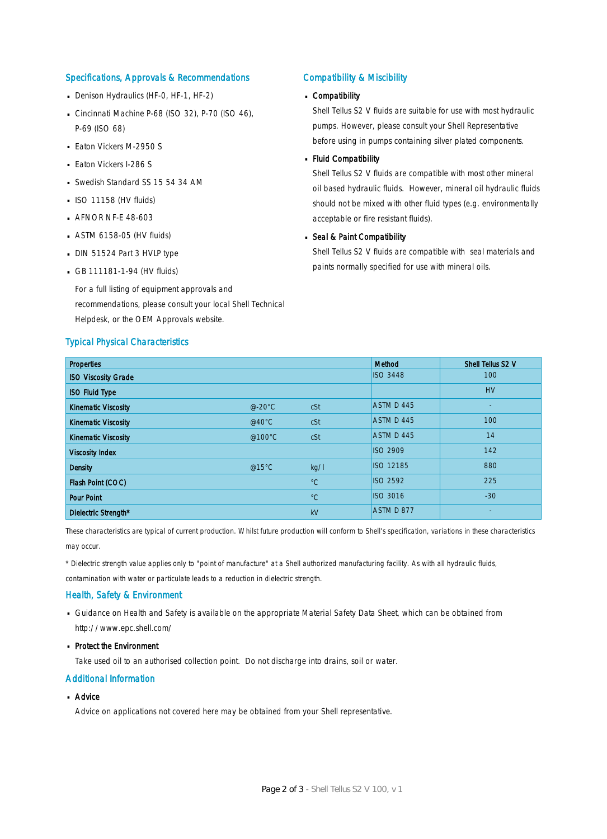#### Specifications, Approvals & Recommendations

- Denison Hydraulics (HF-0, HF-1, HF-2)
- Cincinnati Machine P-68 (ISO 32), P-70 (ISO 46), P-69 (ISO 68)
- **Eaton Vickers M-2950 S**
- **Eaton Vickers I-286 S**
- Swedish Standard SS 15 54 34 AM
- $\blacksquare$  ISO 11158 (HV fluids)
- **AFNOR NF-E 48-603**
- $-$  ASTM 6158-05 (HV fluids)
- DIN 51524 Part 3 HVLP type
- $-$  GB 111181-1-94 (HV fluids)

For a full listing of equipment approvals and recommendations, please consult your local Shell Technical Helpdesk, or the OEM Approvals website.

#### Typical Physical Characteristics

#### Compatibility & Miscibility

# Compatibility ·

Shell Tellus S2 V fluids are suitable for use with most hydraulic pumps. However, please consult your Shell Representative before using in pumps containing silver plated components.

# - Fluid Compatibility

Shell Tellus S2 V fluids are compatible with most other mineral oil based hydraulic fluids. However, mineral oil hydraulic fluids should not be mixed with other fluid types (e.g. environmentally acceptable or fire resistant fluids).

# Seal & Paint Compatibility

Shell Tellus S2 V fluids are compatible with seal materials and paints normally specified for use with mineral oils.

| <b>Properties</b>          |                  |             | Method           | Shell Tellus S2 V |
|----------------------------|------------------|-------------|------------------|-------------------|
| <b>ISO Viscosity Grade</b> |                  |             | <b>ISO 3448</b>  | 100               |
| <b>ISO Fluid Type</b>      |                  |             |                  | <b>HV</b>         |
| <b>Kinematic Viscosity</b> | $@-20°C$         | cSt         | ASTM D 445       | ٠                 |
| <b>Kinematic Viscosity</b> | @40 $^{\circ}$ C | cSt         | ASTM D 445       | 100               |
| <b>Kinematic Viscosity</b> | @100°C           | cSt         | ASTM D 445       | 14                |
| <b>Viscosity Index</b>     |                  |             | <b>ISO 2909</b>  | 142               |
| <b>Density</b>             | @15°C            | kg/l        | <b>ISO 12185</b> | 880               |
| Flash Point (COC)          |                  | $^{\circ}C$ | <b>ISO 2592</b>  | 225               |
| <b>Pour Point</b>          |                  | $^{\circ}C$ | <b>ISO 3016</b>  | $-30$             |
| Dielectric Strength*       |                  | kV          | ASTM D 877       | ٠                 |

These characteristics are typical of current production. Whilst future production will conform to Shell's specification, variations in these characteristics may occur.

\* Dielectric strength value applies only to "point of manufacture" at a Shell authorized manufacturing facility. As with all hydraulic fluids,

contamination with water or particulate leads to a reduction in dielectric strength.

#### Health, Safety & Environment

■ Guidance on Health and Safety is available on the appropriate Material Safety Data Sheet, which can be obtained from http://www.epc.shell.com/

# • Protect the Environment

Take used oil to an authorised collection point. Do not discharge into drains, soil or water.

#### Additional Information

# ■ Advice

Advice on applications not covered here may be obtained from your Shell representative.